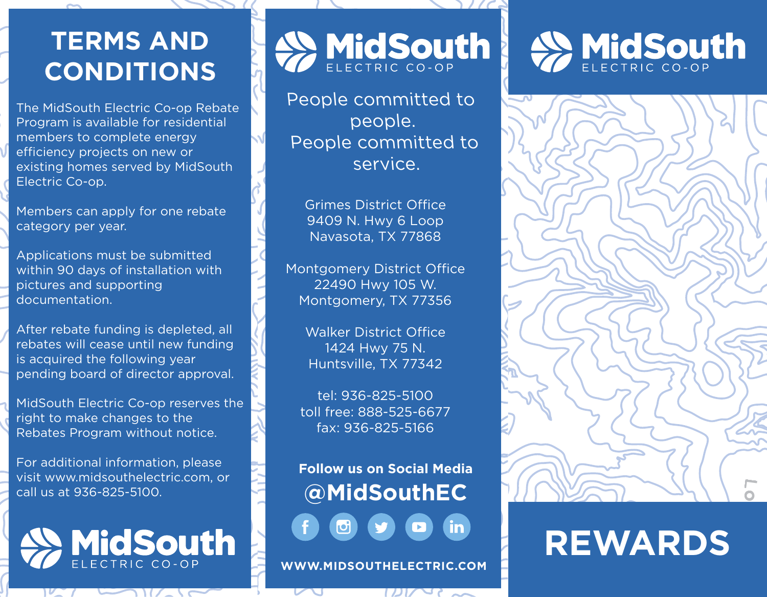## **TERMS AND CONDITIONS**

The MidSouth Electric Co-op Rebate Program is available for residential members to complete energy efficiency projects on new or existing homes served by MidSouth Electric Co-op.

Members can apply for one rebate category per year.

Applications must be submitted within 90 days of installation with pictures and supporting documentation.

After rebate funding is depleted, all rebates will cease until new funding is acquired the following year pending board of director approval.

MidSouth Electric Co-op reserves the right to make changes to the Rebates Program without notice.

For additional information, please visit www.midsouthelectric.com, or call us at 936-825-5100.

# **MidSouth**

WidSouth

People committed to people. People committed to service.

Grimes District Office 9409 N. Hwy 6 Loop Navasota, TX 77868

Montgomery District Office 22490 Hwy 105 W. Montgomery, TX 77356

> Walker District Office 1424 Hwy 75 N. Huntsville, TX 77342

tel: 936-825-5100 toll free: 888-525-6677 fax: 936-825-5166

**Follow us on Social Media @MidSouthEC** in

**WWW.MIDSOUTHELECTRIC.COM**





## **REWARDS**